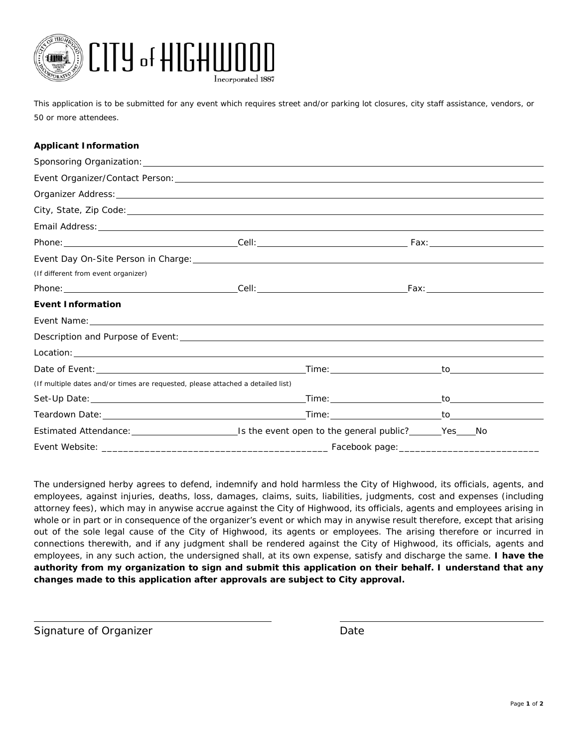

*This application is to be submitted for any event which requires street and/or parking lot closures, city staff assistance, vendors, or 50 or more attendees.*

## **Applicant Information**

| Event Organizer/Contact Person: National Account of the Contract of the Contract of the Contract of the Contract of the Contract of the Contract of the Contract of the Contract of the Contract of the Contract of the Contra |  |  |  |  |
|--------------------------------------------------------------------------------------------------------------------------------------------------------------------------------------------------------------------------------|--|--|--|--|
|                                                                                                                                                                                                                                |  |  |  |  |
|                                                                                                                                                                                                                                |  |  |  |  |
|                                                                                                                                                                                                                                |  |  |  |  |
|                                                                                                                                                                                                                                |  |  |  |  |
| (If different from event organizer)                                                                                                                                                                                            |  |  |  |  |
|                                                                                                                                                                                                                                |  |  |  |  |
| <b>Event Information</b>                                                                                                                                                                                                       |  |  |  |  |
| Event Name: Note: 2008 and 2008 and 2008 and 2008 and 2008 and 2008 and 2008 and 2008 and 2008 and 2008 and 200                                                                                                                |  |  |  |  |
|                                                                                                                                                                                                                                |  |  |  |  |
|                                                                                                                                                                                                                                |  |  |  |  |
|                                                                                                                                                                                                                                |  |  |  |  |
| (If multiple dates and/or times are requested, please attached a detailed list)                                                                                                                                                |  |  |  |  |
|                                                                                                                                                                                                                                |  |  |  |  |
|                                                                                                                                                                                                                                |  |  |  |  |
|                                                                                                                                                                                                                                |  |  |  |  |
|                                                                                                                                                                                                                                |  |  |  |  |

The undersigned herby agrees to defend, indemnify and hold harmless the City of Highwood, its officials, agents, and employees, against injuries, deaths, loss, damages, claims, suits, liabilities, judgments, cost and expenses (including attorney fees), which may in anywise accrue against the City of Highwood, its officials, agents and employees arising in whole or in part or in consequence of the organizer's event or which may in anywise result therefore, except that arising out of the sole legal cause of the City of Highwood, its agents or employees. The arising therefore or incurred in connections therewith, and if any judgment shall be rendered against the City of Highwood, its officials, agents and employees, in any such action, the undersigned shall, at its own expense, satisfy and discharge the same. **I have the authority from my organization to sign and submit this application on their behalf. I understand that any changes made to this application after approvals are subject to City approval.**

Signature of Organizer **Date** Date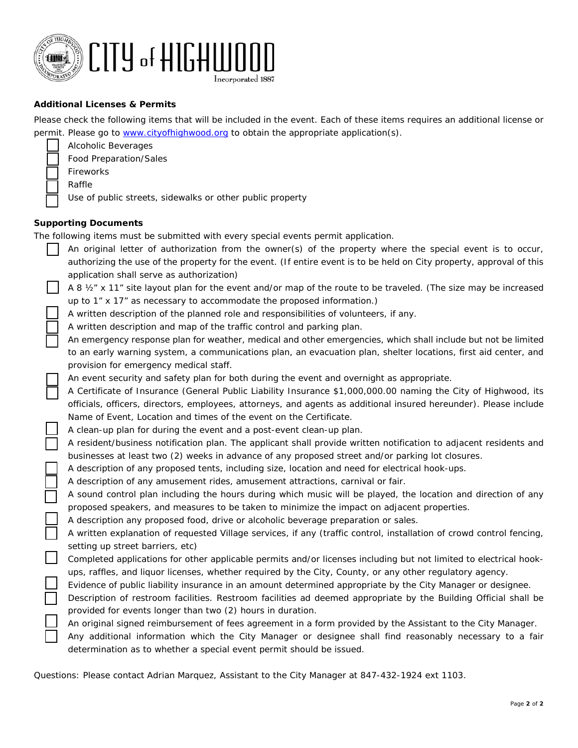

## **Additional Licenses & Permits**

Please check the following items that will be included in the event. Each of these items requires an additional license or permit. Please go to [www.cityofhighwood.org](http://www.cityofhighwood.org/) to obtain the appropriate application(s).

- Alcoholic Beverages
- Food Preparation/Sales
- Fireworks
- Raffle

Use of public streets, sidewalks or other public property

## **Supporting Documents**

The following items must be submitted with every special events permit application.

- An original letter of authorization from the owner(s) of the property where the special event is to occur, authorizing the use of the property for the event. *(If entire event is to be held on City property, approval of this application shall serve as authorization)*
	- A 8 ½" x 11" site layout plan for the event and/or map of the route to be traveled. (The size may be increased up to 1" x 17" as necessary to accommodate the proposed information.)

A written description of the planned role and responsibilities of volunteers, if any.

A written description and map of the traffic control and parking plan.

 An emergency response plan for weather, medical and other emergencies, which shall include but not be limited to an early warning system, a communications plan, an evacuation plan, shelter locations, first aid center, and provision for emergency medical staff.

An event security and safety plan for both during the event and overnight as appropriate.

 A Certificate of Insurance (General Public Liability Insurance \$1,000,000.00 naming the City of Highwood, its officials, officers, directors, employees, attorneys, and agents as additional insured hereunder). Please include Name of Event, Location and times of the event on the Certificate.

A clean-up plan for during the event and a post-event clean-up plan.

 A resident/business notification plan. The applicant shall provide written notification to adjacent residents and businesses at least two (2) weeks in advance of any proposed street and/or parking lot closures.

A description of any proposed tents, including size, location and need for electrical hook-ups.

A description of any amusement rides, amusement attractions, carnival or fair.

 A sound control plan including the hours during which music will be played, the location and direction of any proposed speakers, and measures to be taken to minimize the impact on adjacent properties.

A description any proposed food, drive or alcoholic beverage preparation or sales.

 A written explanation of requested Village services, if any (traffic control, installation of crowd control fencing, setting up street barriers, etc)

- Completed applications for other applicable permits and/or licenses including but not limited to electrical hookups, raffles, and liquor licenses, whether required by the City, County, or any other regulatory agency.
- Evidence of public liability insurance in an amount determined appropriate by the City Manager or designee.
- Description of restroom facilities. Restroom facilities ad deemed appropriate by the Building Official shall be provided for events longer than two (2) hours in duration.

An original signed reimbursement of fees agreement in a form provided by the Assistant to the City Manager.

 Any additional information which the City Manager or designee shall find reasonably necessary to a fair determination as to whether a special event permit should be issued.

Questions: Please contact Adrian Marquez, Assistant to the City Manager at 847-432-1924 ext 1103.